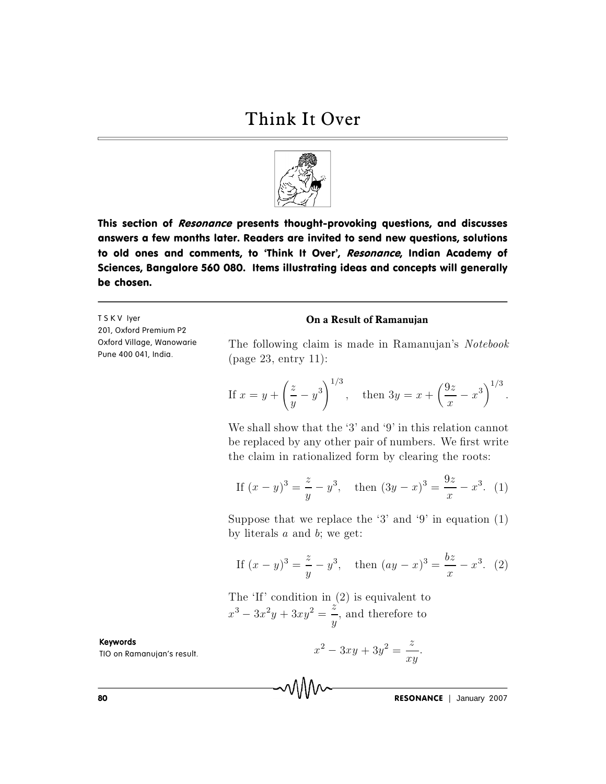

This section of Resonance presents thought-provoking questions, and discusses answers a few months later. Readers are invited to send new questions, solutions to old ones and comments, to 'Think It Over', Resonance, Indian Academy of Sciences, Bangalore 560 080. Items illustrating ideas and concepts will generally be chosen.

TSKV lyer 201, Oxford Premium P2 Oxford Village, Wanowarie Pune 400 041, India.

## On a Result of Ramanujan

The following claim is made in Ramanujan's Notebook  $(page 23, entry 11):$ 

If 
$$
x = y + \left(\frac{z}{y} - y^3\right)^{1/3}
$$
, then  $3y = x + \left(\frac{9z}{x} - x^3\right)^{1/3}$ .

We shall show that the '3' and '9' in this relation cannot be replaced by any other pair of numbers. We first write the claim in rationalized form by clearing the roots:

If 
$$
(x - y)^3 = \frac{z}{y} - y^3
$$
, then  $(3y - x)^3 = \frac{9z}{x} - x^3$ . (1)

Suppose that we replace the '3' and '9' in equation  $(1)$ by literals  $a$  and  $b$ ; we get:

If 
$$
(x - y)^3 = \frac{z}{y} - y^3
$$
, then  $(ay - x)^3 = \frac{bz}{x} - x^3$ . (2)

The 'If' condition in  $(2)$  is equivalent to  $x^3 - 3x^2y + 3xy^2 = \frac{z}{y}$ , and therefore to

MM

 $x^2 - 3xy + 3y^2 = \frac{z}{xy}.$ 

**RESONANCE** | January 2007

Keywords

TIO on Ramanujan's result.